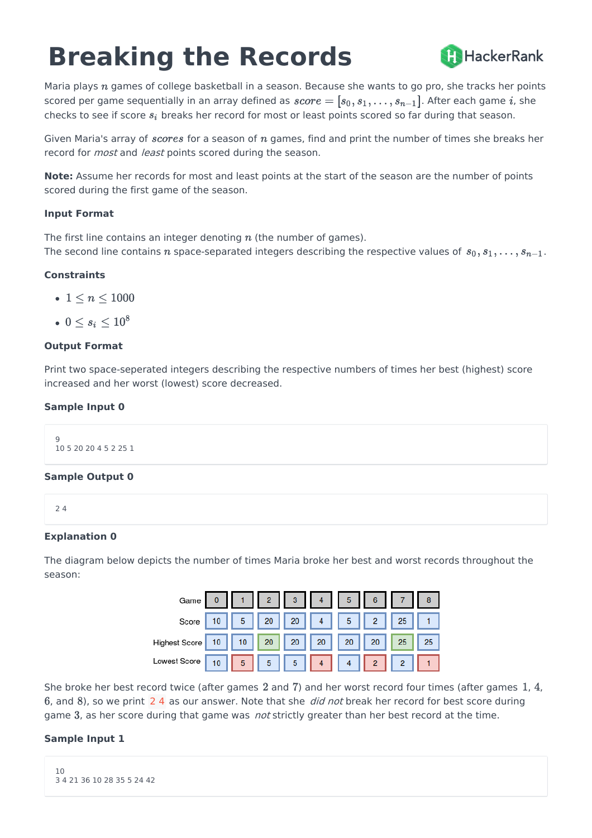# **Breaking the Records**



Maria plays  $n$  games of college basketball in a season. Because she wants to go pro, she tracks her points scored per game sequentially in an array defined as  $score = [s_0, s_1, \ldots, s_{n-1}]$ . After each game i, she checks to see if score  $s_i$  breaks her record for most or least points scored so far during that season.

Given Maria's array of *scores* for a season of  $n$  games, find and print the number of times she breaks her record for *most* and *least* points scored during the season.

**Note:** Assume her records for most and least points at the start of the season are the number of points scored during the first game of the season.

## **Input Format**

The first line contains an integer denoting  $n$  (the number of games). The second line contains n space-separated integers describing the respective values of  $s_0, s_1, \ldots, s_{n-1}$ .

## **Constraints**

- $\bullet\;1\leq n\leq 1000$
- $\bullet\;0\leq s_i\leq 10^8$

## **Output Format**

Print two space-seperated integers describing the respective numbers of times her best (highest) score increased and her worst (lowest) score decreased.

## **Sample Input 0**

9 10 5 20 20 4 5 2 25 1

## **Sample Output 0**

2 4

# **Explanation 0**

The diagram below depicts the number of times Maria broke her best and worst records throughout the season:



She broke her best record twice (after games  $2$  and  $7$ ) and her worst record four times (after games  $1, 4$ , 6, and 8), so we print  $2, 4$  as our answer. Note that she *did not* break her record for best score during game 3, as her score during that game was *not* strictly greater than her best record at the time.

# **Sample Input 1**

```
10
3 4 21 36 10 28 35 5 24 42
```